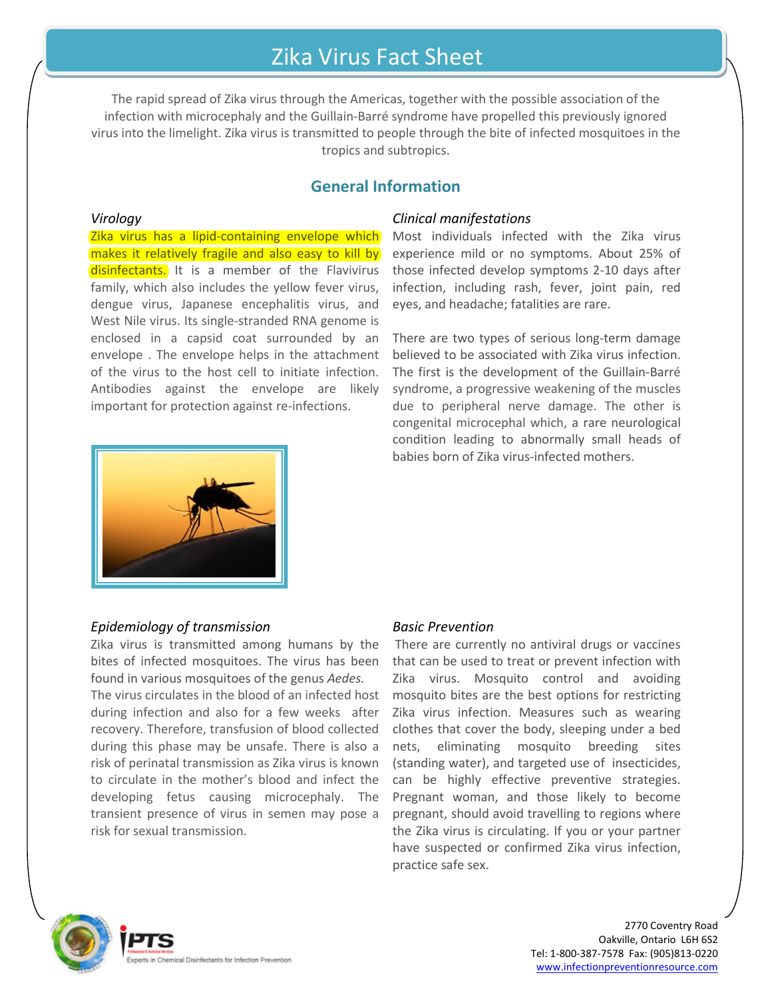# Zika Virus Fact Sheet

The rapid spread of Zika virus through the Americas, together with the possible association of the infection with microcephaly and the Guillain-Barré syndrome have propelled this previously ignored virus into the limelight. Zika virus is transmitted to people through the bite of infected mosquitoes in the tropics and subtropics.

# **General Information**

#### *Virology*

Zika virus has a lipid-containing envelope which makes it relatively fragile and also easy to kill by disinfectants. It is a member of the Flavivirus family, which also includes the yellow fever virus, dengue virus, Japanese encephalitis virus, and West Nile virus. Its single-stranded RNA genome is enclosed in a capsid coat surrounded by an envelope . The envelope helps in the attachment of the virus to the host cell to initiate infection. Antibodies against the envelope are likely important for protection against re-infections.



## *Clinical manifestations*

Most individuals infected with the Zika virus experience mild or no symptoms. About 25% of those infected develop symptoms 2-10 days after infection, including rash, fever, joint pain, red eyes, and headache; fatalities are rare.

There are two types of serious long-term damage believed to be associated with Zika virus infection. The first is the development of the Guillain-Barré syndrome, a progressive weakening of the muscles due to peripheral nerve damage. The other is congenital microcephal which, a rare neurological condition leading to abnormally small heads of babies born of Zika virus-infected mothers.

## *Epidemiology of transmission*

Zika virus is transmitted among humans by the bites of infected mosquitoes. The virus has been found in various mosquitoes of the genus *Aedes.*

The virus circulates in the blood of an infected host during infection and also for a few weeks after recovery. Therefore, transfusion of blood collected during this phase may be unsafe. There is also a risk of perinatal transmission as Zika virus is known to circulate in the mother's blood and infect the developing fetus causing microcephaly. The transient presence of virus in semen may pose a risk for sexual transmission.

#### *Basic Prevention*

There are currently no antiviral drugs or vaccines that can be used to treat or prevent infection with Zika virus. Mosquito control and avoiding mosquito bites are the best options for restricting Zika virus infection. Measures such as wearing clothes that cover the body, sleeping under a bed nets, eliminating mosquito breeding sites (standing water), and targeted use of insecticides, can be highly effective preventive strategies. Pregnant woman, and those likely to become pregnant, should avoid travelling to regions where the Zika virus is circulating. If you or your partner have suspected or confirmed Zika virus infection, practice safe sex.



2770 Coventry Road Oakville, Ontario L6H 6S2 Tel: 1-800-387-7578 Fax: (905)813-0220 www.infectionpreventionresource.com